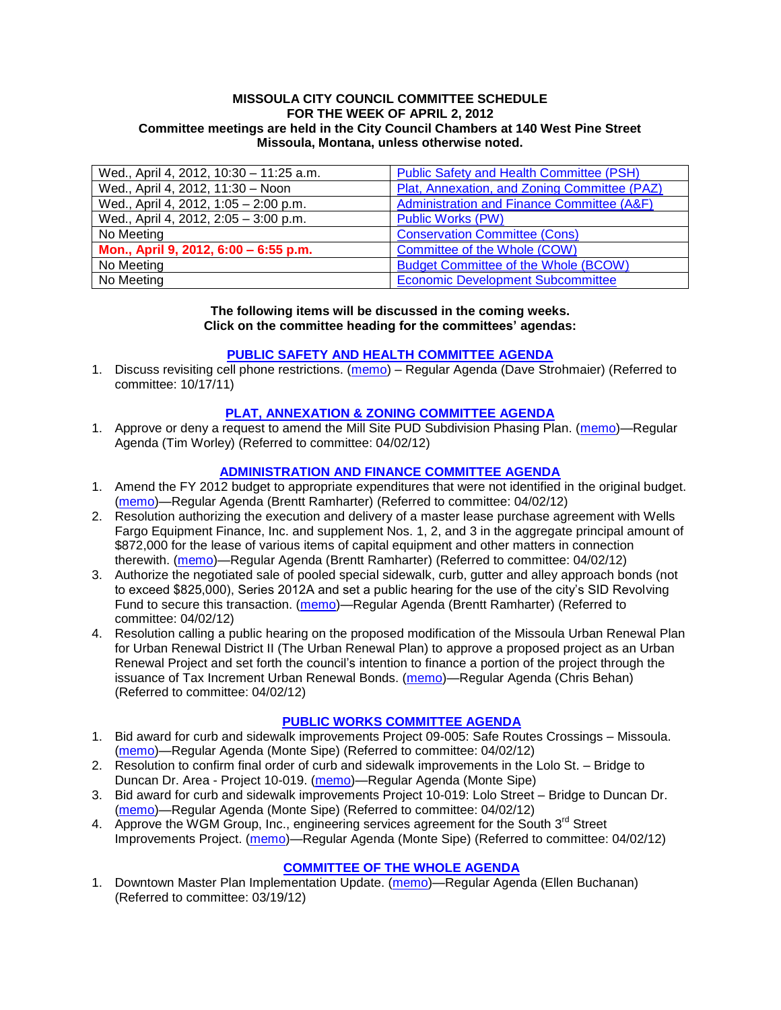#### **MISSOULA CITY COUNCIL COMMITTEE SCHEDULE FOR THE WEEK OF APRIL 2, 2012 Committee meetings are held in the City Council Chambers at 140 West Pine Street Missoula, Montana, unless otherwise noted.**

| Wed., April 4, 2012, 10:30 - 11:25 a.m. | <b>Public Safety and Health Committee (PSH)</b> |
|-----------------------------------------|-------------------------------------------------|
| Wed., April 4, 2012, 11:30 - Noon       | Plat, Annexation, and Zoning Committee (PAZ)    |
| Wed., April 4, 2012, 1:05 - 2:00 p.m.   | Administration and Finance Committee (A&F)      |
| Wed., April 4, 2012, 2:05 - 3:00 p.m.   | <b>Public Works (PW)</b>                        |
| No Meeting                              | <b>Conservation Committee (Cons)</b>            |
| Mon., April 9, 2012, 6:00 - 6:55 p.m.   | Committee of the Whole (COW)                    |
| No Meeting                              | <b>Budget Committee of the Whole (BCOW)</b>     |
| No Meeting                              | <b>Economic Development Subcommittee</b>        |

#### **The following items will be discussed in the coming weeks. Click on the committee heading for the committees' agendas:**

### **[PUBLIC SAFETY AND HEALTH COMMITTEE](http://www.ci.missoula.mt.us/DocumentCenterii.aspx?FID=836) AGENDA**

1. Discuss revisiting cell phone restrictions. [\(memo\)](http://www.ci.missoula.mt.us/DocumentView.aspx?DID=7420) – Regular Agenda (Dave Strohmaier) (Referred to committee: 10/17/11)

### **[PLAT, ANNEXATION & ZONING COMMITTEE AGENDA](http://www.ci.missoula.mt.us/DocumentCenterii.aspx?FID=831)**

1. Approve or deny a request to amend the Mill Site PUD Subdivision Phasing Plan. [\(memo\)](http://www.ci.missoula.mt.us/DocumentView.aspx?DID=8603)—Regular Agenda (Tim Worley) (Referred to committee: 04/02/12)

### **[ADMINISTRATION AND FINANCE COMMITTEE AGENDA](http://www.ci.missoula.mt.us/DocumentCenterii.aspx?FID=830)**

- 1. Amend the FY 2012 budget to appropriate expenditures that were not identified in the original budget. [\(memo\)](http://www.ci.missoula.mt.us/DocumentView.aspx?DID=8601)—Regular Agenda (Brentt Ramharter) (Referred to committee: 04/02/12)
- 2. Resolution authorizing the execution and delivery of a master lease purchase agreement with Wells Fargo Equipment Finance, Inc. and supplement Nos. 1, 2, and 3 in the aggregate principal amount of \$872,000 for the lease of various items of capital equipment and other matters in connection therewith. [\(memo\)](http://www.ci.missoula.mt.us/DocumentView.aspx?DID=8600)—Regular Agenda (Brentt Ramharter) (Referred to committee: 04/02/12)
- 3. Authorize the negotiated sale of pooled special sidewalk, curb, gutter and alley approach bonds (not to exceed \$825,000), Series 2012A and set a public hearing for the use of the city's SID Revolving Fund to secure this transaction. [\(memo\)](http://www.ci.missoula.mt.us/DocumentView.aspx?DID=8599)—Regular Agenda (Brentt Ramharter) (Referred to committee: 04/02/12)
- 4. Resolution calling a public hearing on the proposed modification of the Missoula Urban Renewal Plan for Urban Renewal District II (The Urban Renewal Plan) to approve a proposed project as an Urban Renewal Project and set forth the council's intention to finance a portion of the project through the issuance of Tax Increment Urban Renewal Bonds. [\(memo\)](http://www.ci.missoula.mt.us/DocumentView.aspx?DID=8602)—Regular Agenda (Chris Behan) (Referred to committee: 04/02/12)

# **[PUBLIC WORKS COMMITTEE AGENDA](http://www.ci.missoula.mt.us/DocumentCenterii.aspx?FID=833)**

- 1. Bid award for curb and sidewalk improvements Project 09-005: Safe Routes Crossings Missoula. [\(memo\)](http://www.ci.missoula.mt.us/DocumentView.aspx?DID=8606)—Regular Agenda (Monte Sipe) (Referred to committee: 04/02/12)
- 2. Resolution to confirm final order of curb and sidewalk improvements in the Lolo St. Bridge to Duncan Dr. Area - Project 10-019. [\(memo\)](http://www.ci.missoula.mt.us/DocumentView.aspx?DID=8605)—Regular Agenda (Monte Sipe)
- 3. Bid award for curb and sidewalk improvements Project 10-019: Lolo Street Bridge to Duncan Dr. [\(memo\)](http://www.ci.missoula.mt.us/DocumentView.aspx?DID=8608)—Regular Agenda (Monte Sipe) (Referred to committee: 04/02/12)
- 4. Approve the WGM Group, Inc., engineering services agreement for the South 3<sup>rd</sup> Street Improvements Project. [\(memo\)](http://www.ci.missoula.mt.us/DocumentView.aspx?DID=8604)—Regular Agenda (Monte Sipe) (Referred to committee: 04/02/12)

### **[COMMITTEE OF THE](http://www.ci.missoula.mt.us/DocumentCenterii.aspx?FID=834) WHOLE AGENDA**

1. Downtown Master Plan Implementation Update. [\(memo\)](http://www.ci.missoula.mt.us/DocumentView.aspx?DID=8485)—Regular Agenda (Ellen Buchanan) (Referred to committee: 03/19/12)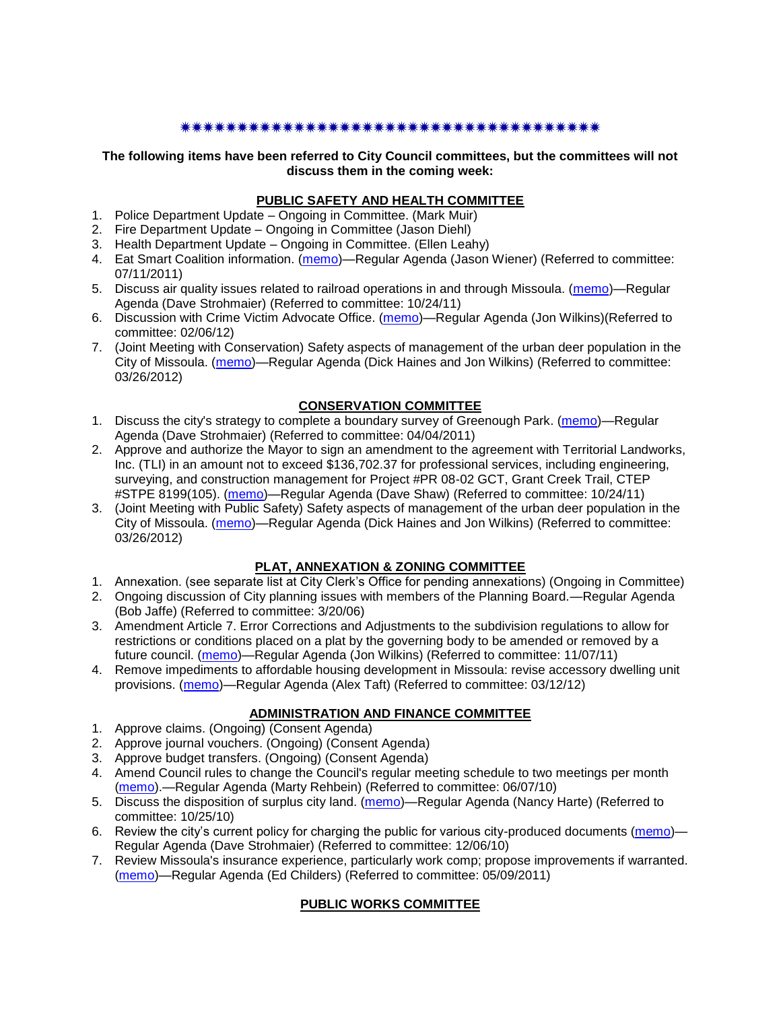#### 

### **The following items have been referred to City Council committees, but the committees will not discuss them in the coming week:**

### **PUBLIC SAFETY AND HEALTH COMMITTEE**

- 1. Police Department Update Ongoing in Committee. (Mark Muir)
- 2. Fire Department Update Ongoing in Committee (Jason Diehl)
- 3. Health Department Update Ongoing in Committee. (Ellen Leahy)
- 4. Eat Smart Coalition information. [\(memo\)](http://www.ci.missoula.mt.us/DocumentView.aspx?DID=6776)—Regular Agenda (Jason Wiener) (Referred to committee: 07/11/2011)
- 5. Discuss air quality issues related to railroad operations in and through Missoula. [\(memo\)](http://www.ci.missoula.mt.us/DocumentView.aspx?DID=7495)—Regular Agenda (Dave Strohmaier) (Referred to committee: 10/24/11)
- 6. Discussion with Crime Victim Advocate Office. [\(memo\)](http://www.ci.missoula.mt.us/DocumentView.aspx?DID=8109)—Regular Agenda (Jon Wilkins)(Referred to committee: 02/06/12)
- 7. (Joint Meeting with Conservation) Safety aspects of management of the urban deer population in the City of Missoula. [\(memo\)](http://www.ci.missoula.mt.us/DocumentView.aspx?DID=8528)—Regular Agenda (Dick Haines and Jon Wilkins) (Referred to committee: 03/26/2012)

### **CONSERVATION COMMITTEE**

- 1. Discuss the city's strategy to complete a boundary survey of Greenough Park. [\(memo\)](http://www.ci.missoula.mt.us/DocumentView.aspx?DID=5875)—Regular Agenda (Dave Strohmaier) (Referred to committee: 04/04/2011)
- 2. Approve and authorize the Mayor to sign an amendment to the agreement with Territorial Landworks, Inc. (TLI) in an amount not to exceed \$136,702.37 for professional services, including engineering, surveying, and construction management for Project #PR 08-02 GCT, Grant Creek Trail, CTEP #STPE 8199(105). [\(memo\)](http://www.ci.missoula.mt.us/DocumentView.aspx?DID=7494)—Regular Agenda (Dave Shaw) (Referred to committee: 10/24/11)
- 3. (Joint Meeting with Public Safety) Safety aspects of management of the urban deer population in the City of Missoula. [\(memo\)](http://www.ci.missoula.mt.us/DocumentView.aspx?DID=8528)—Regular Agenda (Dick Haines and Jon Wilkins) (Referred to committee: 03/26/2012)

# **PLAT, ANNEXATION & ZONING COMMITTEE**

- 1. Annexation. (see separate list at City Clerk's Office for pending annexations) (Ongoing in Committee)
- 2. Ongoing discussion of City planning issues with members of the Planning Board.—Regular Agenda (Bob Jaffe) (Referred to committee: 3/20/06)
- 3. Amendment Article 7. Error Corrections and Adjustments to the subdivision regulations to allow for restrictions or conditions placed on a plat by the governing body to be amended or removed by a future council. [\(memo\)](http://www.ci.missoula.mt.us/DocumentView.aspx?DID=7568)—Regular Agenda (Jon Wilkins) (Referred to committee: 11/07/11)
- 4. Remove impediments to affordable housing development in Missoula: revise accessory dwelling unit provisions. [\(memo\)](http://www.ci.missoula.mt.us/DocumentView.aspx?DID=8421)—Regular Agenda (Alex Taft) (Referred to committee: 03/12/12)

### **ADMINISTRATION AND FINANCE COMMITTEE**

- 1. Approve claims. (Ongoing) (Consent Agenda)
- 2. Approve journal vouchers. (Ongoing) (Consent Agenda)
- 3. Approve budget transfers. (Ongoing) (Consent Agenda)
- 4. Amend Council rules to change the Council's regular meeting schedule to two meetings per month [\(memo\)](http://www.ci.missoula.mt.us/DocumentView.aspx?DID=4027).—Regular Agenda (Marty Rehbein) (Referred to committee: 06/07/10)
- 5. Discuss the disposition of surplus city land. [\(memo\)](http://www.ci.missoula.mt.us/DocumentView.aspx?DID=4862)—Regular Agenda (Nancy Harte) (Referred to committee: 10/25/10)
- 6. Review the city's current policy for charging the public for various city-produced documents [\(memo\)](http://www.ci.missoula.mt.us/DocumentView.aspx?DID=5143) Regular Agenda (Dave Strohmaier) (Referred to committee: 12/06/10)
- 7. Review Missoula's insurance experience, particularly work comp; propose improvements if warranted. [\(memo\)](http://www.ci.missoula.mt.us/DocumentView.aspx?DID=6381)—Regular Agenda (Ed Childers) (Referred to committee: 05/09/2011)

# **PUBLIC WORKS COMMITTEE**